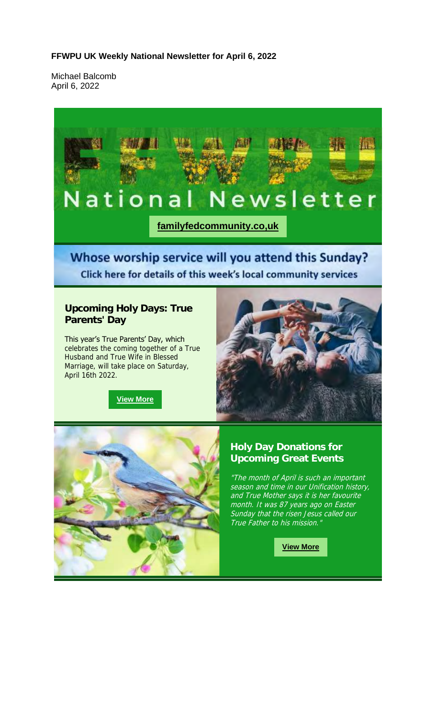#### **FFWPU UK Weekly National Newsletter for April 6, 2022**

Michael Balcomb April 6, 2022

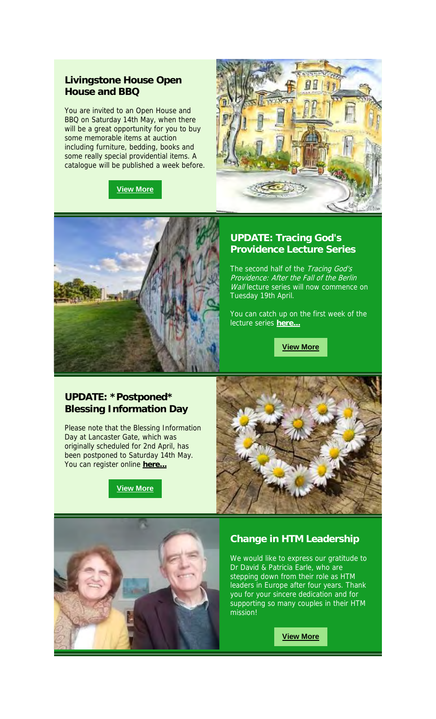## **Livingstone House Open House and BBQ**

You are invited to an Open House and BBQ on Saturday 14th May, when there will be a great opportunity for you to buy some memorable items at auction including furniture, bedding, books and some really special providential items. A catalogue will be published a week before.







#### **UPDATE: Tracing God's Providence Lecture Series**

The second half of the Tracing God's Providence: After the Fall of the Berlin Wall lecture series will now commence on Tuesday 19th April.

You can catch up on the first week of the lecture series **here...**

**View More**

## **UPDATE: \*Postponed\* Blessing Information Day**

Please note that the Blessing Information Day at Lancaster Gate, which was originally scheduled for 2nd April, has been postponed to Saturday 14th May. You can register online **here...**







#### **Change in HTM Leadership**

We would like to express our gratitude to Dr David & Patricia Earle, who are stepping down from their role as HTM leaders in Europe after four years. Thank you for your sincere dedication and for supporting so many couples in their HTM mission!

**View More**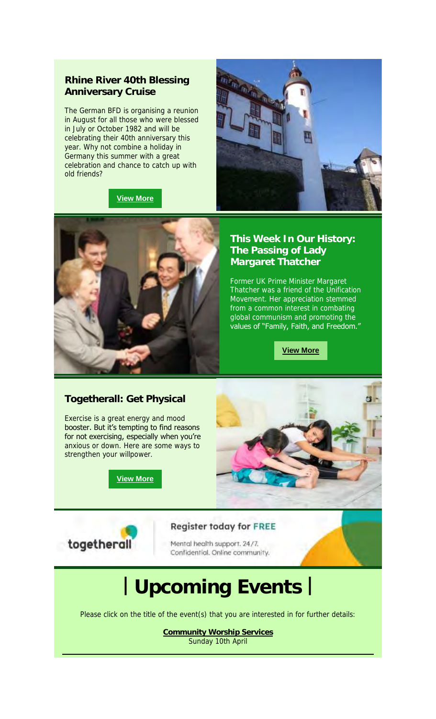## **Rhine River 40th Blessing Anniversary Cruise**

The German BFD is organising a reunion in August for all those who were blessed in July or October 1982 and will be celebrating their 40th anniversary this year. Why not combine a holiday in Germany this summer with a great celebration and chance to catch up with old friends?



**View More**



## **This Week In Our History: The Passing of Lady Margaret Thatcher**

Former UK Prime Minister Margaret Thatcher was a friend of the Unification Movement. Her appreciation stemmed from a common interest in combating global communism and promoting the values of "Family, Faith, and Freedom."

**View More**

## **Togetherall: Get Physical**

Exercise is a great energy and mood booster. But it's tempting to find reasons for not exercising, especially when you're anxious or down. Here are some ways to strengthen your willpower.

**View More**





#### **Register today for FREE**

Mental health support. 24/7. Confidential. Online community.

# **| Upcoming Events |**

Please click on the title of the event(s) that you are interested in for further details:

**Community Worship Services** Sunday 10th April